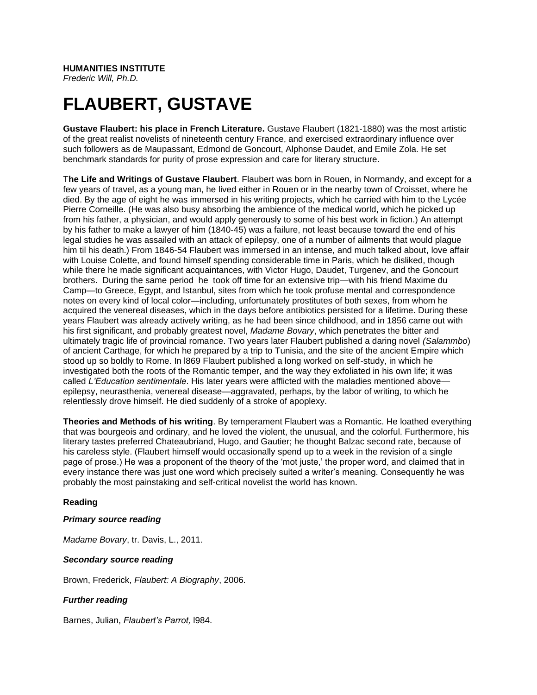# **FLAUBERT, GUSTAVE**

**Gustave Flaubert: his place in French Literature.** Gustave Flaubert (1821-1880) was the most artistic of the great realist novelists of nineteenth century France, and exercised extraordinary influence over such followers as de Maupassant, Edmond de Goncourt, Alphonse Daudet, and Emile Zola. He set benchmark standards for purity of prose expression and care for literary structure.

T**he Life and Writings of Gustave Flaubert**. Flaubert was born in Rouen, in Normandy, and except for a few years of travel, as a young man, he lived either in Rouen or in the nearby town of Croisset, where he died. By the age of eight he was immersed in his writing projects, which he carried with him to the Lycée Pierre Corneille. (He was also busy absorbing the ambience of the medical world, which he picked up from his father, a physician, and would apply generously to some of his best work in fiction.) An attempt by his father to make a lawyer of him (1840-45) was a failure, not least because toward the end of his legal studies he was assailed with an attack of epilepsy, one of a number of ailments that would plague him til his death.) From 1846-54 Flaubert was immersed in an intense, and much talked about, love affair with Louise Colette, and found himself spending considerable time in Paris, which he disliked, though while there he made significant acquaintances, with Victor Hugo, Daudet, Turgenev, and the Goncourt brothers. During the same period he took off time for an extensive trip—with his friend Maxime du Camp—to Greece, Egypt, and Istanbul, sites from which he took profuse mental and correspondence notes on every kind of local color—including, unfortunately prostitutes of both sexes, from whom he acquired the venereal diseases, which in the days before antibiotics persisted for a lifetime. During these years Flaubert was already actively writing, as he had been since childhood, and in 1856 came out with his first significant, and probably greatest novel, *Madame Bovary*, which penetrates the bitter and ultimately tragic life of provincial romance. Two years later Flaubert published a daring novel *(Salammbo*) of ancient Carthage, for which he prepared by a trip to Tunisia, and the site of the ancient Empire which stood up so boldly to Rome. In l869 Flaubert published a long worked on self-study, in which he investigated both the roots of the Romantic temper, and the way they exfoliated in his own life; it was called *L'Education sentimentale*. His later years were afflicted with the maladies mentioned above epilepsy, neurasthenia, venereal disease—aggravated, perhaps, by the labor of writing, to which he relentlessly drove himself. He died suddenly of a stroke of apoplexy.

**Theories and Methods of his writing**. By temperament Flaubert was a Romantic. He loathed everything that was bourgeois and ordinary, and he loved the violent, the unusual, and the colorful. Furthermore, his literary tastes preferred Chateaubriand, Hugo, and Gautier; he thought Balzac second rate, because of his careless style. (Flaubert himself would occasionally spend up to a week in the revision of a single page of prose.) He was a proponent of the theory of the 'mot juste,' the proper word, and claimed that in every instance there was just one word which precisely suited a writer's meaning. Consequently he was probably the most painstaking and self-critical novelist the world has known.

## **Reading**

## *Primary source reading*

*Madame Bovary*, tr. Davis, L., 2011.

## *Secondary source reading*

Brown, Frederick, *Flaubert: A Biography*, 2006.

## *Further reading*

Barnes, Julian, *Flaubert's Parrot,* l984.